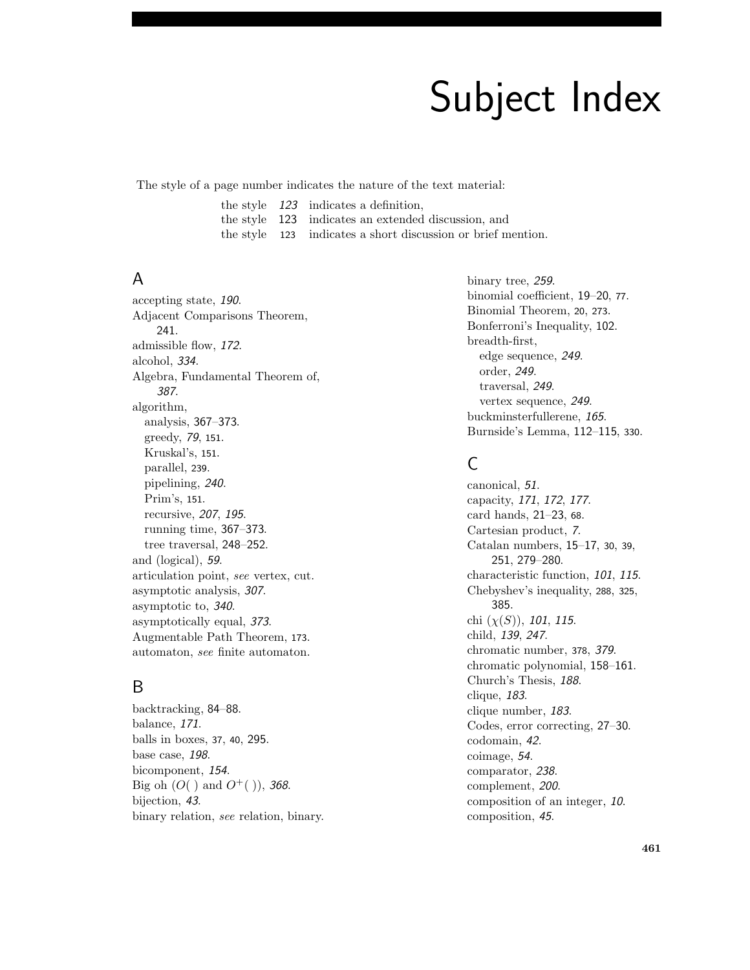# Subject Index

The style of a page number indicates the nature of the text material:

the style 123 indicates a definition,

the style 123 indicates an extended discussion, and

the style 123 indicates a short discussion or brief mention.

#### A

accepting state, 190. Adjacent Comparisons Theorem, 241. admissible flow, 172. alcohol, 334. Algebra, Fundamental Theorem of, 387. algorithm, analysis, 367–373. greedy, 79, <sup>151</sup>. Kruskal's, 151. parallel, 239. pipelining, 240. Prim's, 151. recursive, 207, 195. running time, 367–373. tree traversal, 248–252. and (logical), 59. articulation point, see vertex, cut. asymptotic analysis, 307. asymptotic to, 340. asymptotically equal, 373. Augmentable Path Theorem, 173. automaton, see finite automaton.

## B

backtracking, 84–88. balance, 171. balls in boxes, <sup>37</sup>, <sup>40</sup>, 295. base case, 198. bicomponent, 154. Big oh  $(O($  ) and  $O^+($  )), 368. bijection, 43. binary relation, see relation, binary. binary tree, 259. binomial coefficient, 19–20, <sup>77</sup>. Binomial Theorem, 20, 273. Bonferroni's Inequality, 102. breadth-first, edge sequence, 249. order, 249. traversal, 249. vertex sequence, 249. buckminsterfullerene, 165. Burnside's Lemma, 112–115, <sup>330</sup>.

# C

canonical, 51. capacity, 171, 172, 177. card hands, 21–23, <sup>68</sup>. Cartesian product, 7. Catalan numbers, 15–17, <sup>30</sup>, <sup>39</sup>, 251, 279–280. characteristic function, 101, 115. Chebyshev's inequality, 288, 325, 385. chi  $(\chi(S))$ , 101, 115. child, 139, 247. chromatic number, <sup>378</sup>, 379. chromatic polynomial, 158–161. Church's Thesis, 188. clique, 183. clique number, 183. Codes, error correcting, 27–30. codomain, 42. coimage, 54. comparator, 238. complement, 200. composition of an integer, 10. composition, 45.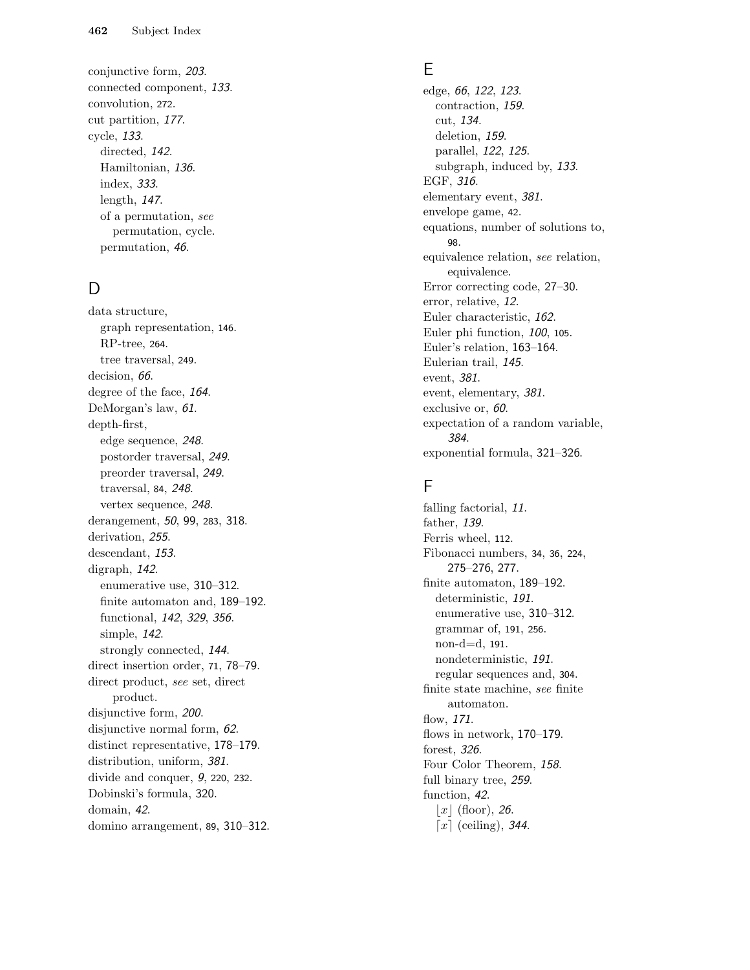conjunctive form, 203 . connected component, 133 . convolution, 272 . cut partition, 177. cycle, 133 . directed, 142. Hamiltonian, 136 . index, 333 . length, 147. of a permutation, see permutation, cycle. permutation, 46 .

## D

data structure, graph representation, 146 . RP-tree, 264 . tree traversal, 249 . decision, 66. degree of the face, 164. DeMorgan's law, 61. depth-first, edge sequence, 248 . postorder traversal, 249 . preorder traversal, 249 . traversal, 84 , 248 . vertex sequence, 248 . derangement, 50, 99, 283, 318. derivation, 255. descendant, 153. digraph, 142 . enumerative use, 310-312. finite automaton and, 189-192. functional, 142, 329, 356. simple, 142 . strongly connected, 144 . direct insertion order, 71, 78-79. direct product, see set, direct product. disjunctive form, 200. disjunctive normal form, 62. distinct representative, 178-179. distribution, uniform, 381. divide and conquer, 9, 220, 232. Dobinski's formula, 320 . domain, 42 . domino arrangement, 89 , 310 –312 .

#### E

edge, 66, 122, 123. contraction, 159 . cut, 134 . deletion, 159. parallel, 122, 125. subgraph, induced by, 133. EGF, 316. elementary event, 381. envelope game, 42 . equations, number of solutions to, 98 . equivalence relation, see relation, equivalence. Error correcting code, 27 –30 . error, relative, 12 . Euler characteristic, 162 . Euler phi function, 100, 105. Euler's relation, 163 –164 . Eulerian trail, 145 . event, 381 . event, elementary, 381. exclusive or, 60. expectation of a random variable, 384 . exponential formula, 321 –326 .

## F

falling factorial, 11. father, 139. Ferris wheel, 112 . Fibonacci numbers, 34 , 36 , 224 , 275 –276 , 277 . finite automaton, 189-192. deterministic, 191. enumerative use, 310-312. grammar of, 191 , 256 . non-d=d, 191 . nondeterministic, 191 . regular sequences and, 304 . finite state machine, see finite automaton. flow, 171 . flows in network, 170-179. forest, 326 . Four Color Theorem, 158. full binary tree, 259. function, 42 .  $\lfloor x \rfloor$  (floor), 26.  $\bar{x}$  (ceiling), 344.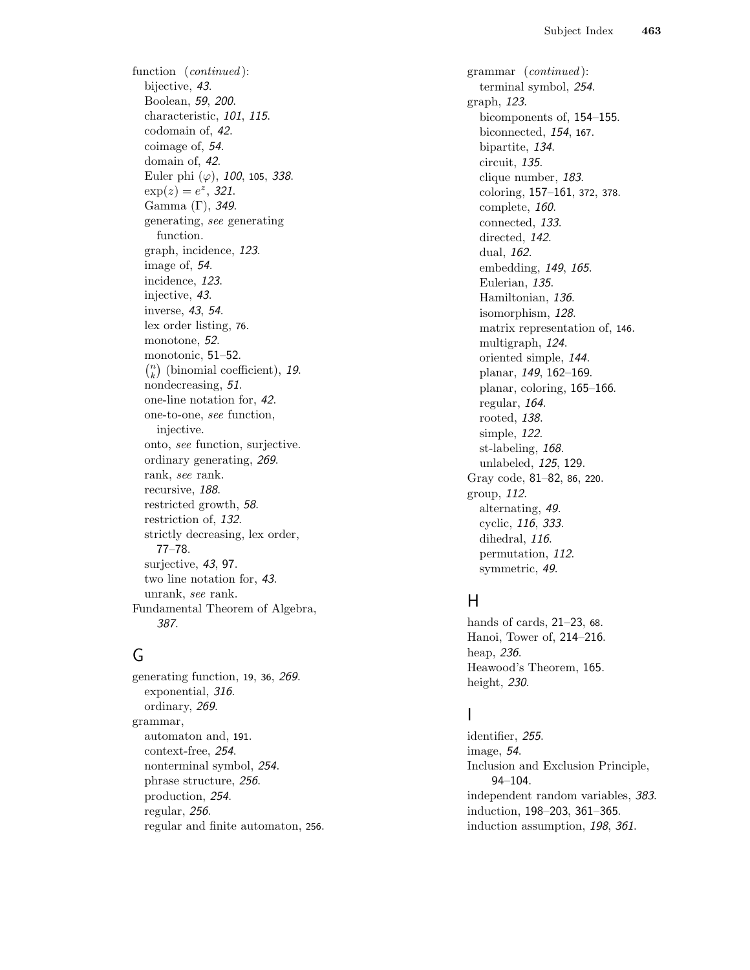function (*continued*): bijective, 43 . Boolean, 59 , 200 . characteristic, 101, 115. codomain of, 42 . coimage of, 54 . domain of, 42 . Euler phi  $(\varphi)$ , 100, 105, 338.  $\exp(z) = e^z$ , 321. Gamma (Γ), 349 . generating, see generating function. graph, incidence, 123 . image of, 54 . incidence, 123 . injective, 43 . inverse, 43, 54. lex order listing, 76 . monotone, 52 . monotonic, 51 –52 .  $\binom{n}{k}$  (binomial coefficient), 19. nondecreasing, 51. one-line notation for, 42 . one-to-one, see function, injective. onto, see function, surjective. ordinary generating, 269 . rank, see rank. recursive, 188. restricted growth, 58 . restriction of, 132 . strictly decreasing, lex order, 77 –78 . surjective, 43, 97. two line notation for, 43 . unrank, see rank. Fundamental Theorem of Algebra, 387.

## G

generating function, 19, 36, 269. exponential, 316 . ordinary, 269 . grammar, automaton and, 191 . context-free, 254 . nonterminal symbol, 254 . phrase structure, 256 . production, 254 . regular, 256 . regular and finite automaton, 256 . grammar (continued ): terminal symbol, 254 . graph, 123 . bicomponents of, 154 –155 . biconnected, 154 , 167 . bipartite, 134 . circuit, 135 . clique number, 183 . coloring, 157-161, 372, 378. complete, 160. connected, 133 . directed, 142. dual, 162 . embedding, 149, 165. Eulerian, 135 . Hamiltonian, 136 . isomorphism, 128 . matrix representation of, 146 . multigraph, 124 . oriented simple, 144 . planar, 149, 162–169. planar, coloring, 165 –166 . regular, 164 . rooted, 138 . simple, 122 . st-labeling, 168. unlabeled, 125, 129. Gray code, 81-82, 86, 220. group, 112 . alternating, 49 . cyclic, 116, 333. dihedral, 116. permutation, 112 . symmetric, 49 .

## H

hands of cards, 21-23, 68. Hanoi, Tower of, 214 –216 . heap, 236 . Heawood's Theorem, 165 . height, 230.

## I

identifier, 255 . image, 54 . Inclusion and Exclusion Principle, 94 –104 . independent random variables, 383 . induction, 198 –203 , 361 –365 . induction assumption, 198, 361.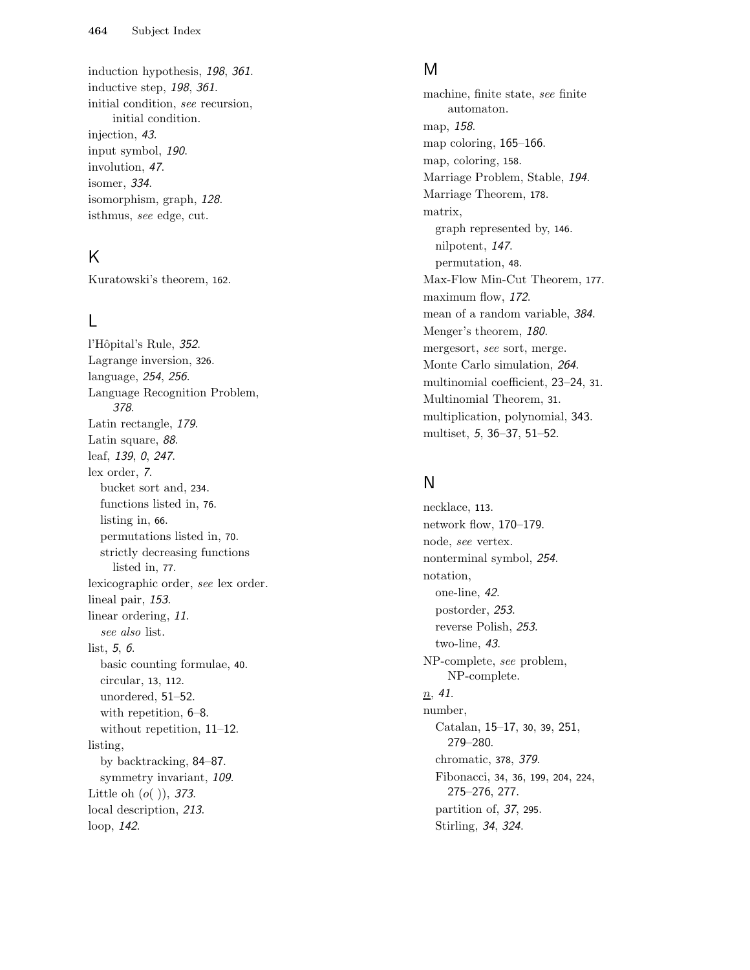induction hypothesis, 198, 361. inductive step, 198, 361. initial condition, see recursion, initial condition. injection, 43 . input symbol, 190 . involution, 47. isomer, 334 . isomorphism, graph, 128 . isthmus, see edge, cut.

#### K

Kuratowski's theorem, 162 .

## L

l'Hôpital's Rule, 352. Lagrange inversion, 326 . language, 254, 256. Language Recognition Problem, 378 . Latin rectangle, 179 . Latin square, 88. leaf, 139, 0, 247. lex order, 7. bucket sort and, 234 . functions listed in, 76 . listing in, 66 . permutations listed in, 70 . strictly decreasing functions listed in, 77 . lexicographic order, see lex order. lineal pair, 153. linear ordering, 11. see also list.  $list, 5, 6.$ basic counting formulae, 40 . circular, 13 , 112 . unordered, 51 –52 . with repetition,  $6-8$ . without repetition, 11-12. listing, by backtracking, 84 –87 . symmetry invariant, 109. Little oh  $(o($   $)),$  373. local description, 213 . loop, 142 .

#### M

machine, finite state, see finite automaton. map, 158 . map coloring, 165-166. map, coloring, 158 . Marriage Problem, Stable, 194. Marriage Theorem, 178 . matrix, graph represented by, 146 . nilpotent, 147. permutation, 48 . Max-Flow Min-Cut Theorem, 177 . maximum flow, 172 . mean of a random variable, 384. Menger's theorem, 180. mergesort, see sort, merge. Monte Carlo simulation, 264 . multinomial coefficient, 23 –24 , 31 . Multinomial Theorem, 31 . multiplication, polynomial, 343 . multiset, 5, 36–37, 51–52.

#### N

necklace, 113 . network flow, 170 –179 . node, see vertex. nonterminal symbol, 254 . notation, one-line, 42 . postorder, 253 . reverse Polish, 253 . two-line, 43 . NP-complete, see problem, NP-complete.  $n, 41$ . number, Catalan, 15-17, 30, 39, 251, 279 –280 . chromatic, 378 , 379 . Fibonacci, 34, 36, 199, 204, 224, 275 –276 , 277 . partition of, 37, <sup>295</sup> . Stirling, 34, 324.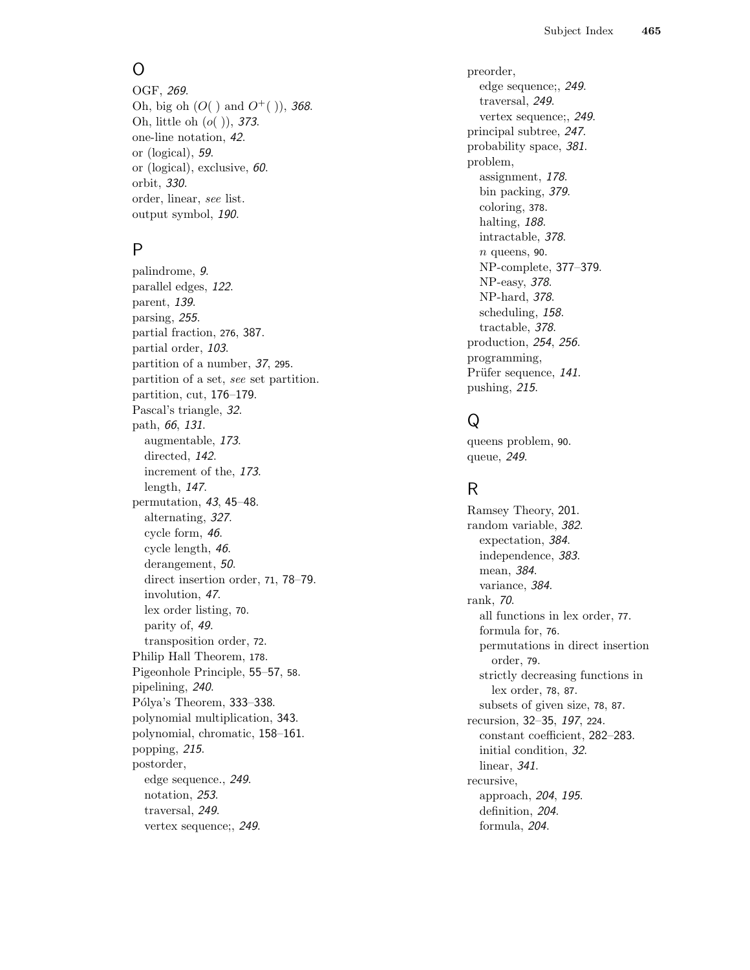## O

OGF, 269. Oh, big oh  $(O($  ) and  $O<sup>+</sup>($   $)),$  368. Oh, little oh  $(o($   $)),$  373. one-line notation, 42 . or (logical), 59 . or (logical), exclusive, 60 . orbit, 330 . order, linear, see list. output symbol, 190 .

#### P

palindrome, 9 . parallel edges, 122 . parent, 139 . parsing, 255 . partial fraction, 276 , 387 . partial order, 103 . partition of a number, 37, <sup>295</sup> . partition of a set, see set partition. partition, cut, 176 –179 . Pascal's triangle, 32 . path, 66, 131. augmentable, 173 . directed, 142. increment of the, 173 . length, 147. permutation, 43, 45-48. alternating, 327. cycle form, 46 . cycle length, 46 . derangement, 50. direct insertion order, 71, 78-79. involution, 47. lex order listing, 70 . parity of, 49 . transposition order, 72 . Philip Hall Theorem, 178 . Pigeonhole Principle, 55 –57 , 58 . pipelining, 240 . Pólya's Theorem, 333-338. polynomial multiplication, 343 . polynomial, chromatic, 158 –161 . popping, 215 . postorder, edge sequence., 249 . notation, 253 . traversal, 249 . vertex sequence;, 249 .

preorder, edge sequence;, 249 . traversal, 249 . vertex sequence;, 249 . principal subtree, 247. probability space, 381. problem, assignment, 178 . bin packing, 379 . coloring, 378 . halting, 188. intractable, 378 .  $n$  queens, 90. NP-complete, 377 –379 . NP-easy, 378 . NP-hard, 378 . scheduling, 158 . tractable, 378 . production, 254 , 256 . programming, Prüfer sequence, 141. pushing, 215 .

# Q

queens problem, 90 . queue, 249 .

## R

Ramsey Theory, 201 . random variable, 382 . expectation, 384 . independence, 383 . mean, 384 . variance, 384 . rank, 70 . all functions in lex order, 77 . formula for, 76 . permutations in direct insertion order, 79 . strictly decreasing functions in lex order, 78 , 87 . subsets of given size, 78 , 87 . recursion, 32-35, 197, 224. constant coefficient, 282 –283 . initial condition, 32 . linear, 341 . recursive, approach, 204, 195. definition, 204. formula, 204 .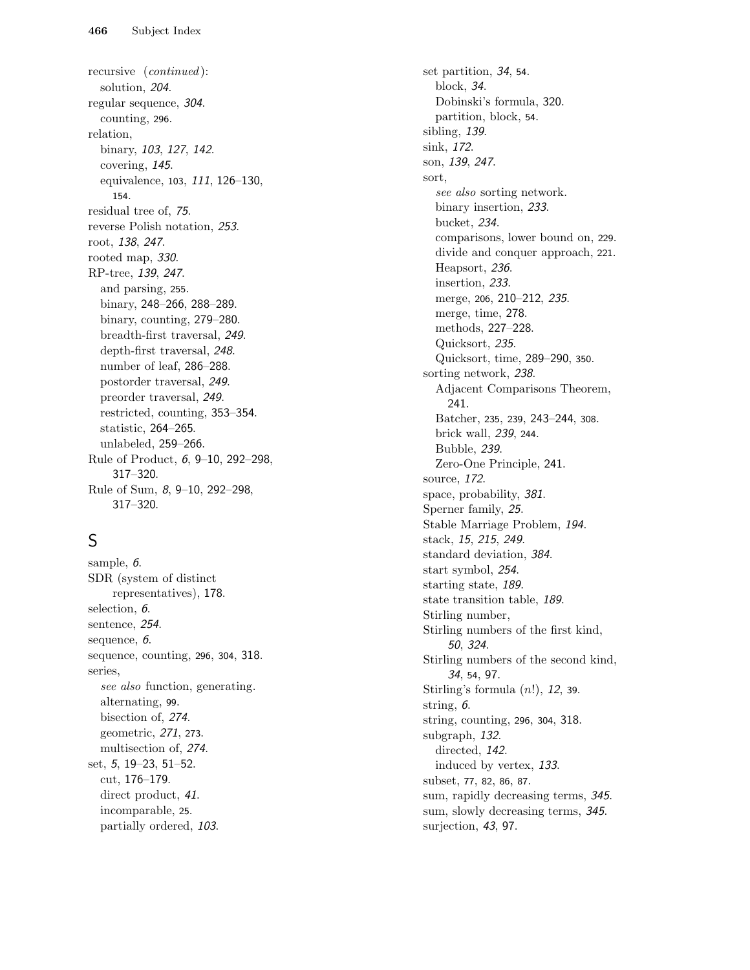recursive (continued ): solution, 204 . regular sequence, 304. counting, 296 . relation, binary, 103, 127, 142. covering, 145 . equivalence, 103, 111, 126-130, 154 . residual tree of, 75 . reverse Polish notation, 253 . root, 138 , 247. rooted map, 330. RP-tree, 139 , 247. and parsing, 255 . binary, 248–266, 288–289. binary, counting, 279-280. breadth-first traversal, 249 . depth-first traversal, 248. number of leaf, 286 –288 . postorder traversal, 249 . preorder traversal, 249 . restricted, counting, 353 –354 . statistic, 264 –265 . unlabeled, 259 –266 . Rule of Product, 6, 9-10, 292-298, 317 –320 . Rule of Sum, 8, 9-10, 292-298, 317 –320 .

# S

sample, 6. SDR (system of distinct representatives), 178 . selection, 6. sentence, 254 . sequence, 6. sequence, counting, 296, 304, 318. series, see also function, generating. alternating, 99 . bisection of, 274 . geometric, 271 , 273 . multisection of, 274 . set, 5, 19–23, 51–52. cut, 176 –179 . direct product, 41. incomparable, 25 . partially ordered, 103 .

set partition, 34, 54. block, 34 . Dobinski's formula, 320 . partition, block, 54 . sibling, 139 . sink, 172 . son, 139 , 247. sort, see also sorting network. binary insertion, 233 . bucket, 234 . comparisons, lower bound on, 229 . divide and conquer approach, 221 . Heapsort, 236 . insertion, 233 . merge, 206, 210-212, 235. merge, time, 278 . methods, 227 –228 . Quicksort, 235 . Quicksort, time, 289 –290 , 350 . sorting network, 238. Adjacent Comparisons Theorem, 241 . Batcher, 235, 239, 243–244, 308. brick wall, 239 , 244 . Bubble, 239 . Zero-One Principle, 241 . source, 172 . space, probability, 381. Sperner family, 25 . Stable Marriage Problem, 194 . stack, 15, 215, 249. standard deviation, 384 . start symbol, 254 . starting state, 189. state transition table, 189 . Stirling number, Stirling numbers of the first kind, 50 , 324 . Stirling numbers of the second kind, 34 , 54 , 97 . Stirling's formula  $(n!)$ , 12, 39. string, 6. string, counting, 296 , 304 , 318 . subgraph, 132 . directed, 142. induced by vertex, 133 . subset, 77, 82, 86, 87. sum, rapidly decreasing terms, 345. sum, slowly decreasing terms, 345. surjection, 43, 97.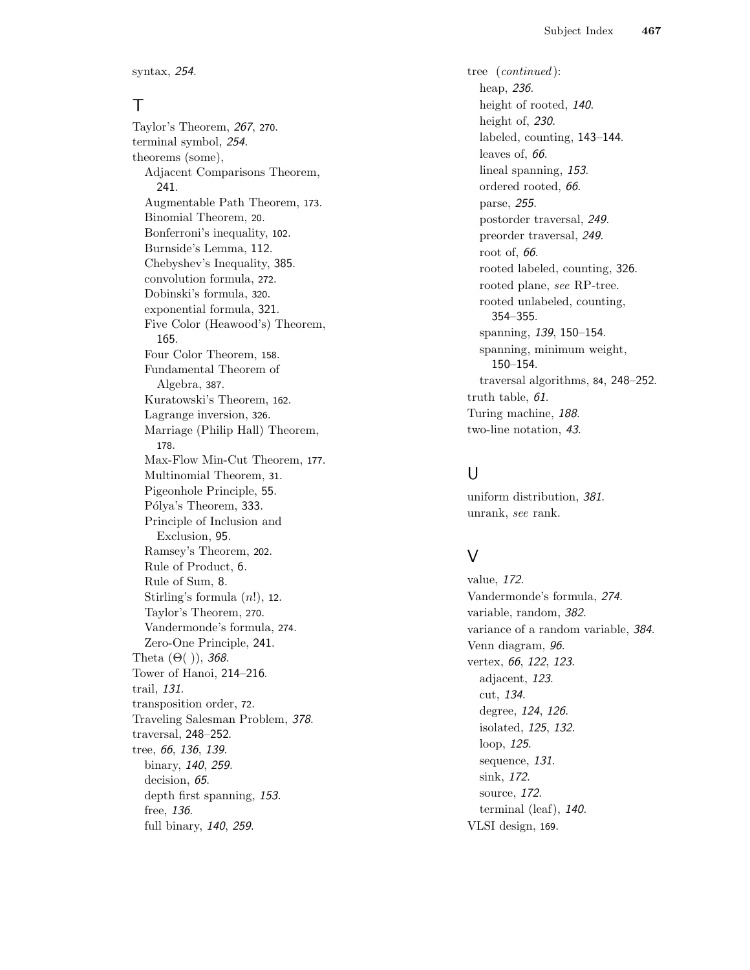syntax, 254 .

#### T

Taylor's Theorem, 267, <sup>270</sup> . terminal symbol, 254 . theorems (some), Adjacent Comparisons Theorem, 241 . Augmentable Path Theorem, 173 . Binomial Theorem, 20 . Bonferroni's inequality, 102 . Burnside's Lemma, 112 . Chebyshev's Inequality, 385 . convolution formula, 272 . Dobinski's formula, 320 . exponential formula, 321 . Five Color (Heawood's) Theorem, 165 . Four Color Theorem, 158 . Fundamental Theorem of Algebra, 387 . Kuratowski's Theorem, 162 . Lagrange inversion, 326 . Marriage (Philip Hall) Theorem, 178 . Max-Flow Min-Cut Theorem, 177 . Multinomial Theorem, 31 . Pigeonhole Principle, 55 . Pólya's Theorem, 333. Principle of Inclusion and Exclusion, 95 . Ramsey's Theorem, 202 . Rule of Product, 6 . Rule of Sum, 8 . Stirling's formula  $(n!)$ , 12. Taylor's Theorem, 270 . Vandermonde's formula, 274 . Zero-One Principle, 241 . Theta  $(\Theta($  )), 368. Tower of Hanoi, 214 –216 . trail, 131 . transposition order, 72 . Traveling Salesman Problem, 378 . traversal, 248 –252 . tree, 66, 136, 139. binary, 140, 259. decision, 65. depth first spanning, 153. free, 136 . full binary, 140, 259.

tree (continued ): heap, 236 . height of rooted, 140. height of, 230. labeled, counting, 143 –144 . leaves of, 66. lineal spanning, 153. ordered rooted, 66 . parse, 255 . postorder traversal, 249 . preorder traversal, 249 . root of, 66. rooted labeled, counting, 326 . rooted plane, see RP-tree. rooted unlabeled, counting, 354 –355 . spanning, 139, 150-154. spanning, minimum weight, 150 –154 . traversal algorithms, 84, 248-252. truth table, 61 . Turing machine, 188 . two-line notation, 43 .

#### $\cup$

uniform distribution, 381 . unrank, see rank.

#### $\vee$

value, 172 . Vandermonde's formula, 274 . variable, random, 382 . variance of a random variable, 384. Venn diagram, 96 . vertex, 66, 122, 123. adjacent, 123 . cut, 134 . degree, 124, 126. isolated, 125 , 132 . loop, 125 . sequence, 131 . sink, 172 . source, 172 . terminal (leaf), 140 . VLSI design, 169 .